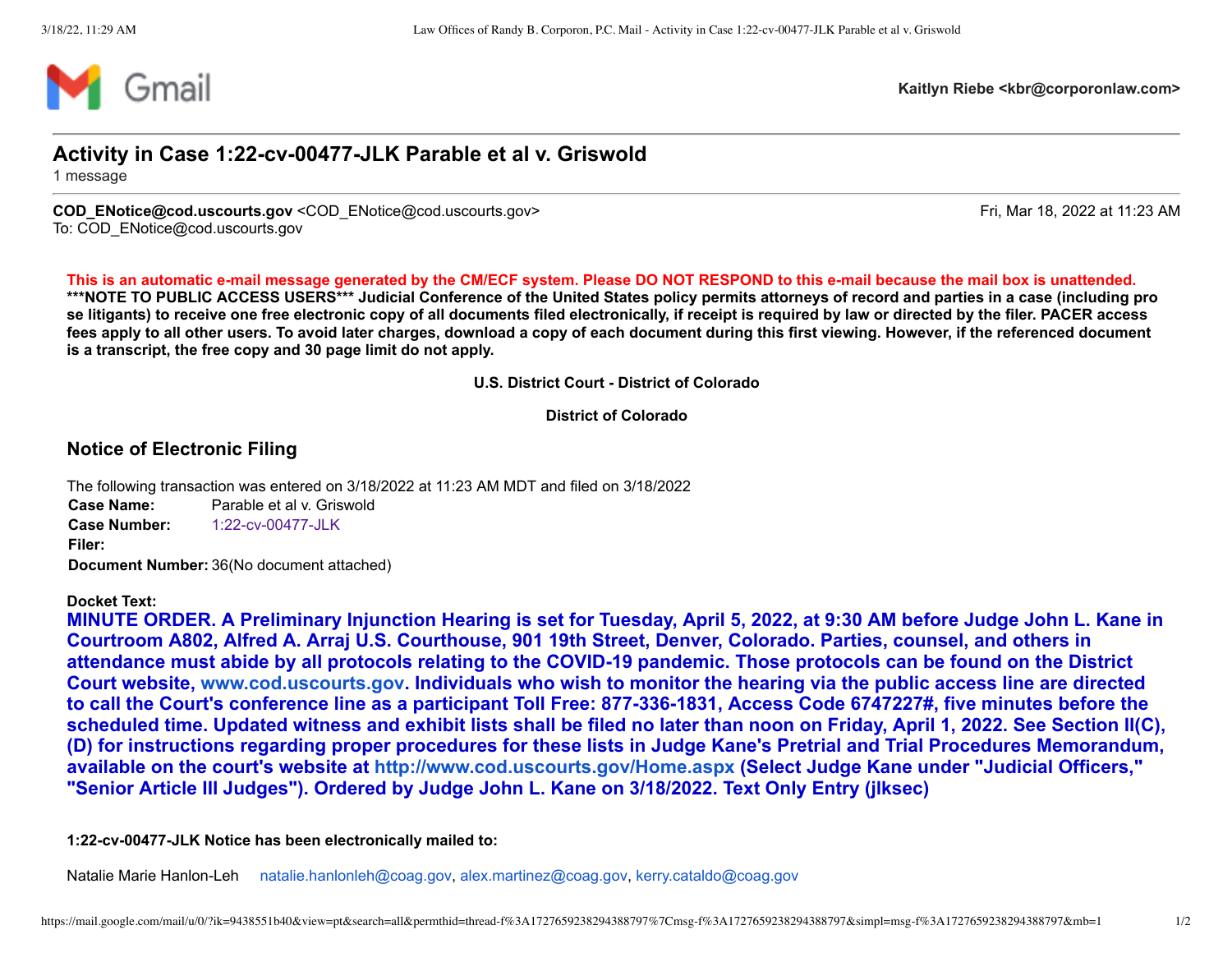

**Kaitlyn Riebe <kbr@corporonlaw.com>**

## **Activity in Case 1:22-cv-00477-JLK Parable et al v. Griswold**

1 message

**COD\_ENotice@cod.uscourts.gov** <COD\_ENotice@cod.uscourts.gov> Fri, Mar 18, 2022 at 11:23 AM To: COD\_ENotice@cod.uscourts.gov

**This is an automatic e-mail message generated by the CM/ECF system. Please DO NOT RESPOND to this e-mail because the mail box is unattended. \*\*\*NOTE TO PUBLIC ACCESS USERS\*\*\* Judicial Conference of the United States policy permits attorneys of record and parties in a case (including pro se litigants) to receive one free electronic copy of all documents filed electronically, if receipt is required by law or directed by the filer. PACER access fees apply to all other users. To avoid later charges, download a copy of each document during this first viewing. However, if the referenced document is a transcript, the free copy and 30 page limit do not apply.**

**U.S. District Court - District of Colorado**

**District of Colorado**

## **Notice of Electronic Filing**

The following transaction was entered on 3/18/2022 at 11:23 AM MDT and filed on 3/18/2022 **Case Name:** Parable et al v. Griswold **Case Number:** [1:22-cv-00477-JLK](https://ecf.cod.uscourts.gov/cgi-bin/DktRpt.pl?213459) **Filer: Document Number:** 36(No document attached)

## **Docket Text:**

**MINUTE ORDER. A Preliminary Injunction Hearing is set for Tuesday, April 5, 2022, at 9:30 AM before Judge John L. Kane in Courtroom A802, Alfred A. Arraj U.S. Courthouse, 901 19th Street, Denver, Colorado. Parties, counsel, and others in attendance must abide by all protocols relating to the COVID-19 pandemic. Those protocols can be found on the District Court website, [www.cod.uscourts.gov](http://www.cod.uscourts.gov/). Individuals who wish to monitor the hearing via the public access line are directed to call the Court's conference line as a participant Toll Free: 877-336-1831, Access Code 6747227#, five minutes before the scheduled time. Updated witness and exhibit lists shall be filed no later than noon on Friday, April 1, 2022. See Section II(C), (D) for instructions regarding proper procedures for these lists in Judge Kane's Pretrial and Trial Procedures Memorandum, available on the court's website at<http://www.cod.uscourts.gov/Home.aspx> (Select Judge Kane under "Judicial Officers," "Senior Article III Judges"). Ordered by Judge John L. Kane on 3/18/2022. Text Only Entry (jlksec)**

**1:22-cv-00477-JLK Notice has been electronically mailed to:**

Natalie Marie Hanlon-Leh [natalie.hanlonleh@coag.gov,](mailto:natalie.hanlonleh@coag.gov) [alex.martinez@coag.gov](mailto:alex.martinez@coag.gov), [kerry.cataldo@coag.gov](mailto:kerry.cataldo@coag.gov)